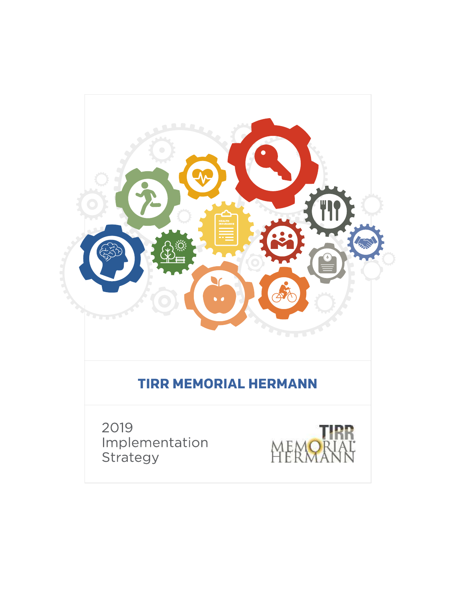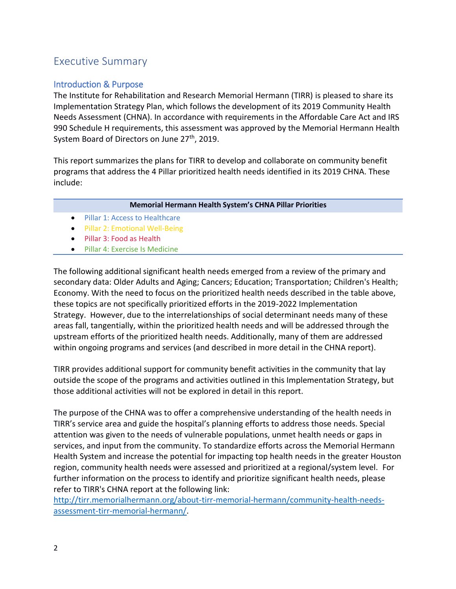## Executive Summary

## Introduction & Purpose

The Institute for Rehabilitation and Research Memorial Hermann (TIRR) is pleased to share its Implementation Strategy Plan, which follows the development of its 2019 Community Health Needs Assessment (CHNA). In accordance with requirements in the Affordable Care Act and IRS 990 Schedule H requirements, this assessment was approved by the Memorial Hermann Health System Board of Directors on June 27<sup>th</sup>, 2019.

This report summarizes the plans for TIRR to develop and collaborate on community benefit programs that address the 4 Pillar prioritized health needs identified in its 2019 CHNA. These include:

#### **Memorial Hermann Health System's CHNA Pillar Priorities**

- Pillar 1: Access to Healthcare
- **Pillar 2: Emotional Well-Being**
- Pillar 3: Food as Health
- **•** Pillar 4: Exercise Is Medicine

The following additional significant health needs emerged from a review of the primary and secondary data: Older Adults and Aging; Cancers; Education; Transportation; Children's Health; Economy. With the need to focus on the prioritized health needs described in the table above, these topics are not specifically prioritized efforts in the 2019-2022 Implementation Strategy. However, due to the interrelationships of social determinant needs many of these areas fall, tangentially, within the prioritized health needs and will be addressed through the upstream efforts of the prioritized health needs. Additionally, many of them are addressed within ongoing programs and services (and described in more detail in the CHNA report).

TIRR provides additional support for community benefit activities in the community that lay outside the scope of the programs and activities outlined in this Implementation Strategy, but those additional activities will not be explored in detail in this report.

The purpose of the CHNA was to offer a comprehensive understanding of the health needs in TIRR's service area and guide the hospital's planning efforts to address those needs. Special attention was given to the needs of vulnerable populations, unmet health needs or gaps in services, and input from the community. To standardize efforts across the Memorial Hermann Health System and increase the potential for impacting top health needs in the greater Houston region, community health needs were assessed and prioritized at a regional/system level. For further information on the process to identify and prioritize significant health needs, please refer to TIRR's CHNA report at the following link:

[http://tirr.memorialhermann.org/about-tirr-memorial-hermann/community-health-needs](http://tirr.memorialhermann.org/about-tirr-memorial-hermann/community-health-needs-assessment-tirr-memorial-hermann/)[assessment-tirr-memorial-hermann/.](http://tirr.memorialhermann.org/about-tirr-memorial-hermann/community-health-needs-assessment-tirr-memorial-hermann/)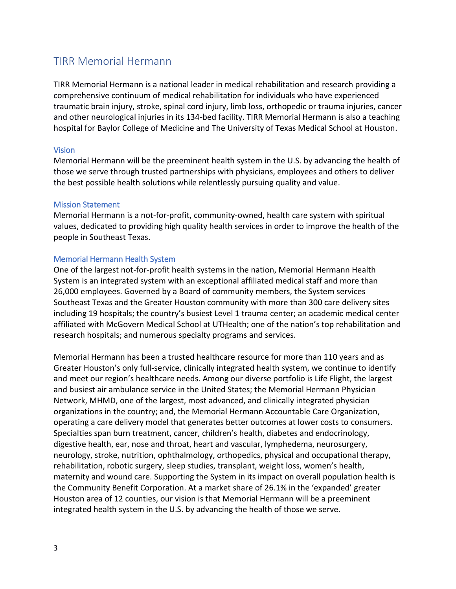## TIRR Memorial Hermann

TIRR Memorial Hermann is a national leader in medical rehabilitation and research providing a comprehensive continuum of medical rehabilitation for individuals who have experienced traumatic brain injury, stroke, spinal cord injury, limb loss, orthopedic or trauma injuries, cancer and other neurological injuries in its 134-bed facility. TIRR Memorial Hermann is also a teaching hospital for Baylor College of Medicine and The University of Texas Medical School at Houston.

#### Vision

Memorial Hermann will be the preeminent health system in the U.S. by advancing the health of those we serve through trusted partnerships with physicians, employees and others to deliver the best possible health solutions while relentlessly pursuing quality and value.

#### Mission Statement

Memorial Hermann is a not‐for‐profit, community‐owned, health care system with spiritual values, dedicated to providing high quality health services in order to improve the health of the people in Southeast Texas.  

#### Memorial Hermann Health System

One of the largest not-for-profit health systems in the nation, Memorial Hermann Health System is an integrated system with an exceptional affiliated medical staff and more than 26,000 employees. Governed by a Board of community members, the System services Southeast Texas and the Greater Houston community with more than 300 care delivery sites including 19 hospitals; the country's busiest Level 1 trauma center; an academic medical center affiliated with McGovern Medical School at UTHealth; one of the nation's top rehabilitation and research hospitals; and numerous specialty programs and services.

Memorial Hermann has been a trusted healthcare resource for more than 110 years and as Greater Houston's only full-service, clinically integrated health system, we continue to identify and meet our region's healthcare needs. Among our diverse portfolio is Life Flight, the largest and busiest air ambulance service in the United States; the Memorial Hermann Physician Network, MHMD, one of the largest, most advanced, and clinically integrated physician organizations in the country; and, the Memorial Hermann Accountable Care Organization, operating a care delivery model that generates better outcomes at lower costs to consumers. Specialties span burn treatment, cancer, children's health, diabetes and endocrinology, digestive health, ear, nose and throat, heart and vascular, lymphedema, neurosurgery, neurology, stroke, nutrition, ophthalmology, orthopedics, physical and occupational therapy, rehabilitation, robotic surgery, sleep studies, transplant, weight loss, women's health, maternity and wound care. Supporting the System in its impact on overall population health is the Community Benefit Corporation. At a market share of 26.1% in the 'expanded' greater Houston area of 12 counties, our vision is that Memorial Hermann will be a preeminent integrated health system in the U.S. by advancing the health of those we serve.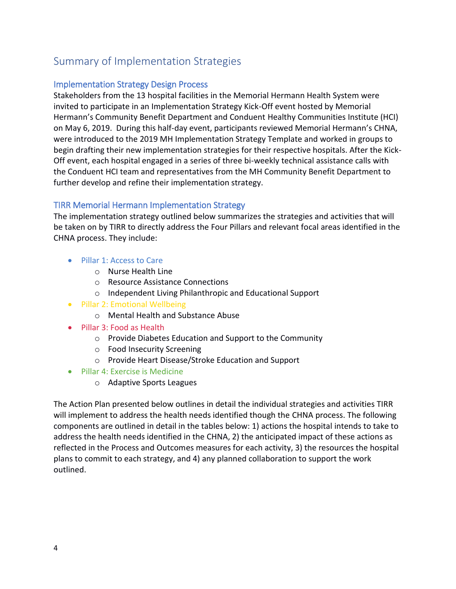# Summary of Implementation Strategies

## Implementation Strategy Design Process

Stakeholders from the 13 hospital facilities in the Memorial Hermann Health System were invited to participate in an Implementation Strategy Kick-Off event hosted by Memorial Hermann's Community Benefit Department and Conduent Healthy Communities Institute (HCI) on May 6, 2019. During this half-day event, participants reviewed Memorial Hermann's CHNA, were introduced to the 2019 MH Implementation Strategy Template and worked in groups to begin drafting their new implementation strategies for their respective hospitals. After the Kick-Off event, each hospital engaged in a series of three bi-weekly technical assistance calls with the Conduent HCI team and representatives from the MH Community Benefit Department to further develop and refine their implementation strategy.

## TIRR Memorial Hermann Implementation Strategy

The implementation strategy outlined below summarizes the strategies and activities that will be taken on by TIRR to directly address the Four Pillars and relevant focal areas identified in the CHNA process. They include:

- Pillar 1: Access to Care
	- o Nurse Health Line
	- o Resource Assistance Connections
	- o Independent Living Philanthropic and Educational Support
- Pillar 2: Emotional Wellbeing
	- o Mental Health and Substance Abuse
- Pillar 3: Food as Health
	- o Provide Diabetes Education and Support to the Community
	- o Food Insecurity Screening
	- o Provide Heart Disease/Stroke Education and Support
- Pillar 4: Exercise is Medicine
	- o Adaptive Sports Leagues

The Action Plan presented below outlines in detail the individual strategies and activities TIRR will implement to address the health needs identified though the CHNA process. The following components are outlined in detail in the tables below: 1) actions the hospital intends to take to address the health needs identified in the CHNA, 2) the anticipated impact of these actions as reflected in the Process and Outcomes measures for each activity, 3) the resources the hospital plans to commit to each strategy, and 4) any planned collaboration to support the work outlined.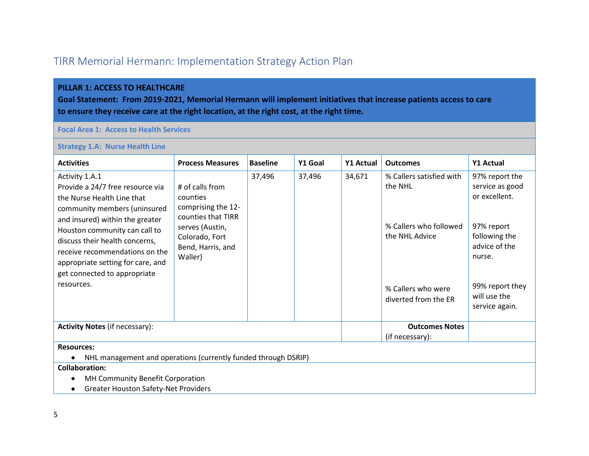# TIRR Memorial Hermann: Implementation Strategy Action Plan

#### **PILLAR 1: ACCESS TO HEALTHCARE**

**Goal Statement: From 2019-2021, Memorial Hermann will implement initiatives that increase patients access to care to ensure they receive care at the right location, at the right cost, at the right time.**

#### **Focal Area 1: Access to Health Services**

#### **Strategy 1.A: Nurse Health Line**

| <b>Activities</b>                                                                                                                                                                                                                                                                                                                           | <b>Process Measures</b>                                                                                                                      | <b>Baseline</b> | Y1 Goal | Y1 Actual | <b>Outcomes</b>                                                                                                               | Y1 Actual                                                                                                                                                         |  |  |
|---------------------------------------------------------------------------------------------------------------------------------------------------------------------------------------------------------------------------------------------------------------------------------------------------------------------------------------------|----------------------------------------------------------------------------------------------------------------------------------------------|-----------------|---------|-----------|-------------------------------------------------------------------------------------------------------------------------------|-------------------------------------------------------------------------------------------------------------------------------------------------------------------|--|--|
| Activity 1.A.1<br>Provide a 24/7 free resource via<br>the Nurse Health Line that<br>community members (uninsured<br>and insured) within the greater<br>Houston community can call to<br>discuss their health concerns,<br>receive recommendations on the<br>appropriate setting for care, and<br>get connected to appropriate<br>resources. | # of calls from<br>counties<br>comprising the 12-<br>counties that TIRR<br>serves (Austin,<br>Colorado, Fort<br>Bend, Harris, and<br>Waller) | 37,496          | 37,496  | 34,671    | % Callers satisfied with<br>the NHL<br>% Callers who followed<br>the NHL Advice<br>% Callers who were<br>diverted from the ER | 97% report the<br>service as good<br>or excellent.<br>97% report<br>following the<br>advice of the<br>nurse.<br>99% report they<br>will use the<br>service again. |  |  |
| <b>Activity Notes (if necessary):</b>                                                                                                                                                                                                                                                                                                       |                                                                                                                                              |                 |         |           | <b>Outcomes Notes</b><br>(if necessary):                                                                                      |                                                                                                                                                                   |  |  |
| <b>Resources:</b>                                                                                                                                                                                                                                                                                                                           |                                                                                                                                              |                 |         |           |                                                                                                                               |                                                                                                                                                                   |  |  |
| NHL management and operations (currently funded through DSRIP)                                                                                                                                                                                                                                                                              |                                                                                                                                              |                 |         |           |                                                                                                                               |                                                                                                                                                                   |  |  |
| <b>Collaboration:</b>                                                                                                                                                                                                                                                                                                                       |                                                                                                                                              |                 |         |           |                                                                                                                               |                                                                                                                                                                   |  |  |
| MH Community Benefit Corporation                                                                                                                                                                                                                                                                                                            |                                                                                                                                              |                 |         |           |                                                                                                                               |                                                                                                                                                                   |  |  |
|                                                                                                                                                                                                                                                                                                                                             | <b>Greater Houston Safety-Net Providers</b>                                                                                                  |                 |         |           |                                                                                                                               |                                                                                                                                                                   |  |  |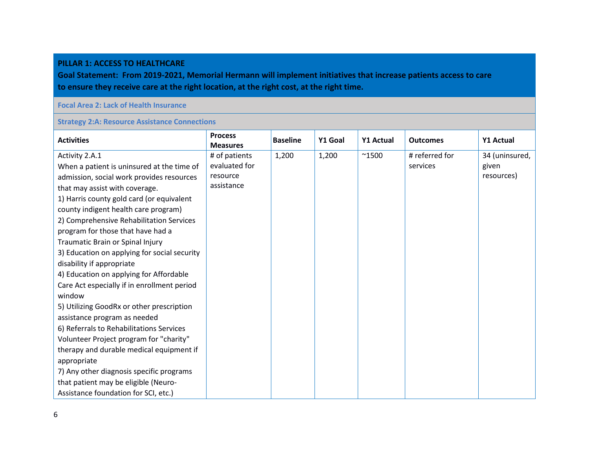#### **PILLAR 1: ACCESS TO HEALTHCARE**

**Goal Statement: From 2019-2021, Memorial Hermann will implement initiatives that increase patients access to care to ensure they receive care at the right location, at the right cost, at the right time.**

#### **Focal Area 2: Lack of Health Insurance**

#### **Strategy 2:A: Resource Assistance Connections**

| <b>Activities</b>                            | <b>Process</b><br><b>Measures</b> | <b>Baseline</b> | Y1 Goal | <b>Y1 Actual</b> | <b>Outcomes</b> | <b>Y1 Actual</b> |
|----------------------------------------------|-----------------------------------|-----------------|---------|------------------|-----------------|------------------|
| Activity 2.A.1                               | # of patients                     | 1,200           | 1,200   | $^{\sim}$ 1500   | # referred for  | 34 (uninsured,   |
| When a patient is uninsured at the time of   | evaluated for                     |                 |         |                  | services        | given            |
| admission, social work provides resources    | resource                          |                 |         |                  |                 | resources)       |
| that may assist with coverage.               | assistance                        |                 |         |                  |                 |                  |
| 1) Harris county gold card (or equivalent    |                                   |                 |         |                  |                 |                  |
| county indigent health care program)         |                                   |                 |         |                  |                 |                  |
| 2) Comprehensive Rehabilitation Services     |                                   |                 |         |                  |                 |                  |
| program for those that have had a            |                                   |                 |         |                  |                 |                  |
| Traumatic Brain or Spinal Injury             |                                   |                 |         |                  |                 |                  |
| 3) Education on applying for social security |                                   |                 |         |                  |                 |                  |
| disability if appropriate                    |                                   |                 |         |                  |                 |                  |
| 4) Education on applying for Affordable      |                                   |                 |         |                  |                 |                  |
| Care Act especially if in enrollment period  |                                   |                 |         |                  |                 |                  |
| window                                       |                                   |                 |         |                  |                 |                  |
| 5) Utilizing GoodRx or other prescription    |                                   |                 |         |                  |                 |                  |
| assistance program as needed                 |                                   |                 |         |                  |                 |                  |
| 6) Referrals to Rehabilitations Services     |                                   |                 |         |                  |                 |                  |
| Volunteer Project program for "charity"      |                                   |                 |         |                  |                 |                  |
| therapy and durable medical equipment if     |                                   |                 |         |                  |                 |                  |
| appropriate                                  |                                   |                 |         |                  |                 |                  |
| 7) Any other diagnosis specific programs     |                                   |                 |         |                  |                 |                  |
| that patient may be eligible (Neuro-         |                                   |                 |         |                  |                 |                  |
| Assistance foundation for SCI, etc.)         |                                   |                 |         |                  |                 |                  |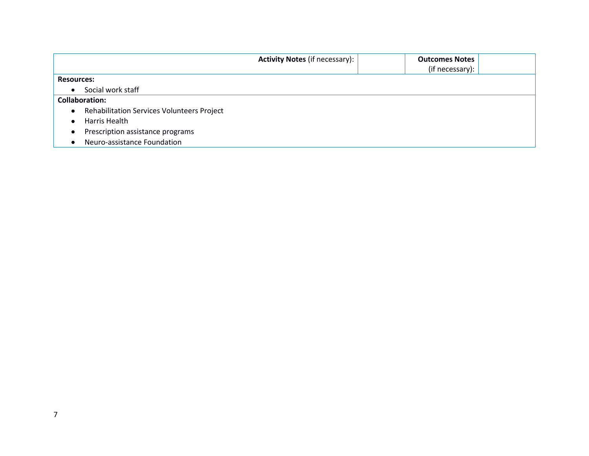|                                                                | <b>Activity Notes (if necessary):</b> | <b>Outcomes Notes</b> |
|----------------------------------------------------------------|---------------------------------------|-----------------------|
|                                                                |                                       | (if necessary):       |
| <b>Resources:</b>                                              |                                       |                       |
| Social work staff<br>$\bullet$                                 |                                       |                       |
| <b>Collaboration:</b>                                          |                                       |                       |
| <b>Rehabilitation Services Volunteers Project</b><br>$\bullet$ |                                       |                       |
| Harris Health                                                  |                                       |                       |
| Prescription assistance programs                               |                                       |                       |
| Neuro-assistance Foundation                                    |                                       |                       |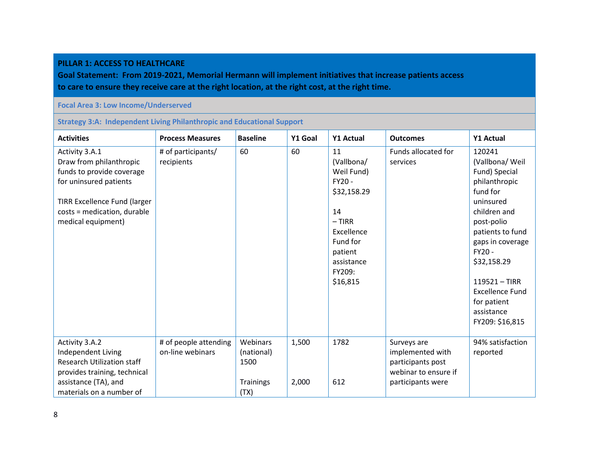#### **PILLAR 1: ACCESS TO HEALTHCARE**

**Goal Statement: From 2019-2021, Memorial Hermann will implement initiatives that increase patients access to care to ensure they receive care at the right location, at the right cost, at the right time.**

#### **Focal Area 3: Low Income/Underserved**

**Strategy 3:A: Independent Living Philanthropic and Educational Support**

| <b>Activities</b>                   | <b>Process Measures</b> | <b>Baseline</b>  | Y1 Goal | <b>Y1 Actual</b> | <b>Outcomes</b>            | <b>Y1 Actual</b> |
|-------------------------------------|-------------------------|------------------|---------|------------------|----------------------------|------------------|
| Activity 3.A.1                      | # of participants/      | 60               | 60      | 11               | <b>Funds allocated for</b> | 120241           |
| Draw from philanthropic             | recipients              |                  |         | (Vallbona/       | services                   | (Vallbona/ Weil  |
| funds to provide coverage           |                         |                  |         | Weil Fund)       |                            | Fund) Special    |
| for uninsured patients              |                         |                  |         | FY20 -           |                            | philanthropic    |
|                                     |                         |                  |         | \$32,158.29      |                            | fund for         |
| <b>TIRR Excellence Fund (larger</b> |                         |                  |         |                  |                            | uninsured        |
| costs = medication, durable         |                         |                  |         | 14               |                            | children and     |
| medical equipment)                  |                         |                  |         | $- TIRR$         |                            | post-polio       |
|                                     |                         |                  |         | Excellence       |                            | patients to fund |
|                                     |                         |                  |         | Fund for         |                            | gaps in coverage |
|                                     |                         |                  |         | patient          |                            | FY20 -           |
|                                     |                         |                  |         | assistance       |                            | \$32,158.29      |
|                                     |                         |                  |         | FY209:           |                            |                  |
|                                     |                         |                  |         | \$16,815         |                            | $119521 - TIRR$  |
|                                     |                         |                  |         |                  |                            | Excellence Fund  |
|                                     |                         |                  |         |                  |                            | for patient      |
|                                     |                         |                  |         |                  |                            | assistance       |
|                                     |                         |                  |         |                  |                            | FY209: \$16,815  |
|                                     |                         |                  |         |                  |                            |                  |
| Activity 3.A.2                      | # of people attending   | Webinars         | 1,500   | 1782             | Surveys are                | 94% satisfaction |
| Independent Living                  | on-line webinars        | (national)       |         |                  | implemented with           | reported         |
| <b>Research Utilization staff</b>   |                         | 1500             |         |                  | participants post          |                  |
| provides training, technical        |                         |                  |         |                  | webinar to ensure if       |                  |
| assistance (TA), and                |                         | <b>Trainings</b> | 2,000   | 612              | participants were          |                  |
| materials on a number of            |                         | (TX)             |         |                  |                            |                  |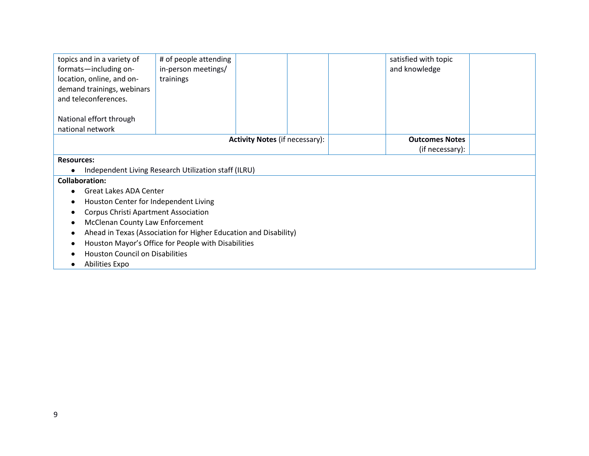| topics and in a variety of                  | # of people attending                                            |                                       |  |  | satisfied with topic  |  |  |
|---------------------------------------------|------------------------------------------------------------------|---------------------------------------|--|--|-----------------------|--|--|
| formats-including on-                       | in-person meetings/                                              |                                       |  |  | and knowledge         |  |  |
| location, online, and on-                   | trainings                                                        |                                       |  |  |                       |  |  |
| demand trainings, webinars                  |                                                                  |                                       |  |  |                       |  |  |
| and teleconferences.                        |                                                                  |                                       |  |  |                       |  |  |
|                                             |                                                                  |                                       |  |  |                       |  |  |
| National effort through                     |                                                                  |                                       |  |  |                       |  |  |
| national network                            |                                                                  |                                       |  |  |                       |  |  |
|                                             |                                                                  | <b>Activity Notes (if necessary):</b> |  |  | <b>Outcomes Notes</b> |  |  |
|                                             |                                                                  |                                       |  |  | (if necessary):       |  |  |
| <b>Resources:</b>                           |                                                                  |                                       |  |  |                       |  |  |
|                                             | Independent Living Research Utilization staff (ILRU)             |                                       |  |  |                       |  |  |
| <b>Collaboration:</b>                       |                                                                  |                                       |  |  |                       |  |  |
| <b>Great Lakes ADA Center</b>               |                                                                  |                                       |  |  |                       |  |  |
| Houston Center for Independent Living       |                                                                  |                                       |  |  |                       |  |  |
| <b>Corpus Christi Apartment Association</b> |                                                                  |                                       |  |  |                       |  |  |
| <b>McClenan County Law Enforcement</b>      |                                                                  |                                       |  |  |                       |  |  |
|                                             | Ahead in Texas (Association for Higher Education and Disability) |                                       |  |  |                       |  |  |
|                                             | Houston Mayor's Office for People with Disabilities              |                                       |  |  |                       |  |  |
| <b>Houston Council on Disabilities</b>      |                                                                  |                                       |  |  |                       |  |  |
| Abilities Expo                              |                                                                  |                                       |  |  |                       |  |  |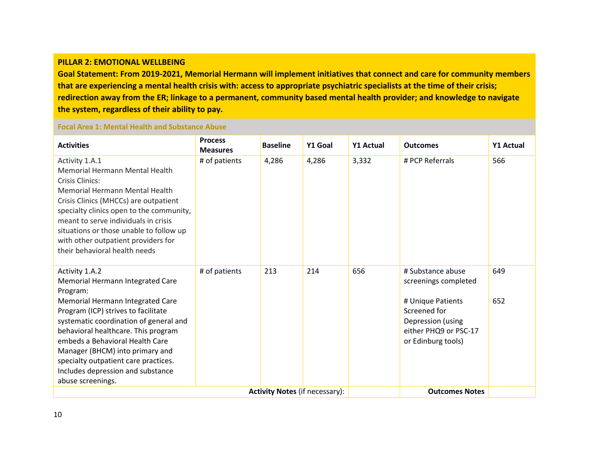#### **PILLAR 2: EMOTIONAL WELLBEING**

**Goal Statement: From 2019-2021, Memorial Hermann will implement initiatives that connect and care for community members that are experiencing a mental health crisis with: access to appropriate psychiatric specialists at the time of their crisis; redirection away from the ER; linkage to a permanent, community based mental health provider; and knowledge to navigate the system, regardless of their ability to pay.**

### **Focal Area 1: Mental Health and Substance Abuse**

| <b>Activities</b>                                                                                                                                                                                                                                                                                                                                                                                  | <b>Process</b><br><b>Measures</b> | <b>Baseline</b> | Y1 Goal | <b>Y1 Actual</b> | <b>Outcomes</b>                                                                                                                                    | <b>Y1 Actual</b> |
|----------------------------------------------------------------------------------------------------------------------------------------------------------------------------------------------------------------------------------------------------------------------------------------------------------------------------------------------------------------------------------------------------|-----------------------------------|-----------------|---------|------------------|----------------------------------------------------------------------------------------------------------------------------------------------------|------------------|
| Activity 1.A.1<br><b>Memorial Hermann Mental Health</b><br>Crisis Clinics:<br>Memorial Hermann Mental Health<br>Crisis Clinics (MHCCs) are outpatient<br>specialty clinics open to the community,<br>meant to serve individuals in crisis<br>situations or those unable to follow up<br>with other outpatient providers for<br>their behavioral health needs                                       | # of patients                     | 4,286           | 4,286   | 3,332            | # PCP Referrals                                                                                                                                    | 566              |
| Activity 1.A.2<br>Memorial Hermann Integrated Care<br>Program:<br>Memorial Hermann Integrated Care<br>Program (ICP) strives to facilitate<br>systematic coordination of general and<br>behavioral healthcare. This program<br>embeds a Behavioral Health Care<br>Manager (BHCM) into primary and<br>specialty outpatient care practices.<br>Includes depression and substance<br>abuse screenings. | # of patients                     | 213             | 214     | 656              | # Substance abuse<br>screenings completed<br># Unique Patients<br>Screened for<br>Depression (using<br>either PHQ9 or PSC-17<br>or Edinburg tools) | 649<br>652       |
| <b>Activity Notes (if necessary):</b>                                                                                                                                                                                                                                                                                                                                                              |                                   |                 |         |                  | <b>Outcomes Notes</b>                                                                                                                              |                  |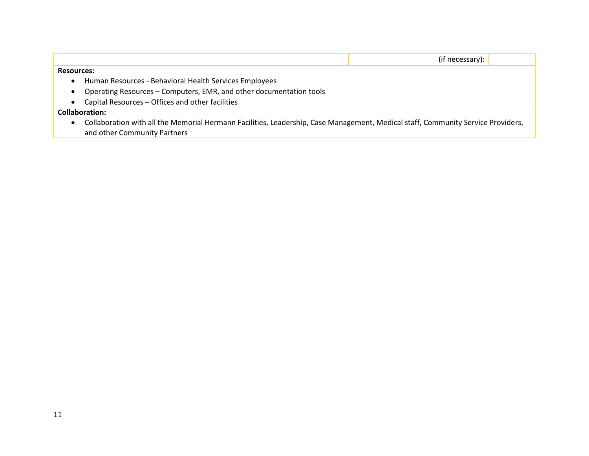|                                                                                                                                  | (if necessary): |
|----------------------------------------------------------------------------------------------------------------------------------|-----------------|
| <b>Resources:</b>                                                                                                                |                 |
| Human Resources - Behavioral Health Services Employees                                                                           |                 |
| Operating Resources - Computers, EMR, and other documentation tools                                                              |                 |
| Capital Resources - Offices and other facilities                                                                                 |                 |
| <b>Collaboration:</b>                                                                                                            |                 |
| Collaboration with all the Memorial Hermann Facilities, Leadership, Case Management, Medical staff, Community Service Providers, |                 |
| and other Community Partners                                                                                                     |                 |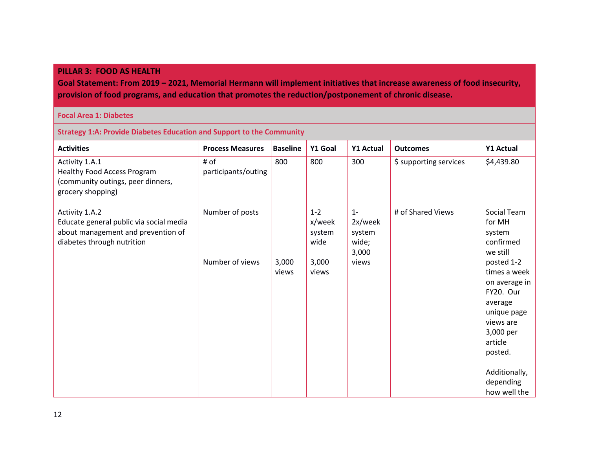#### **PILLAR 3: FOOD AS HEALTH**

**Goal Statement: From 2019 – 2021, Memorial Hermann will implement initiatives that increase awareness of food insecurity, provision of food programs, and education that promotes the reduction/postponement of chronic disease.**

#### **Focal Area 1: Diabetes**

**Strategy 1:A: Provide Diabetes Education and Support to the Community**

| <b>Activities</b>                                                                                                             | <b>Process Measures</b>     | <b>Baseline</b> | Y1 Goal                             | <b>Y1 Actual</b>                             | <b>Outcomes</b>        | Y1 Actual                                                                                                                                                                        |
|-------------------------------------------------------------------------------------------------------------------------------|-----------------------------|-----------------|-------------------------------------|----------------------------------------------|------------------------|----------------------------------------------------------------------------------------------------------------------------------------------------------------------------------|
| Activity 1.A.1<br>Healthy Food Access Program<br>(community outings, peer dinners,<br>grocery shopping)                       | # of<br>participants/outing | 800             | 800                                 | 300                                          | \$ supporting services | \$4,439.80                                                                                                                                                                       |
| Activity 1.A.2<br>Educate general public via social media<br>about management and prevention of<br>diabetes through nutrition | Number of posts             |                 | $1 - 2$<br>x/week<br>system<br>wide | $1 -$<br>2x/week<br>system<br>wide;<br>3,000 | # of Shared Views      | Social Team<br>for MH<br>system<br>confirmed<br>we still                                                                                                                         |
|                                                                                                                               | Number of views             | 3,000<br>views  | 3,000<br>views                      | views                                        |                        | posted 1-2<br>times a week<br>on average in<br>FY20. Our<br>average<br>unique page<br>views are<br>3,000 per<br>article<br>posted.<br>Additionally,<br>depending<br>how well the |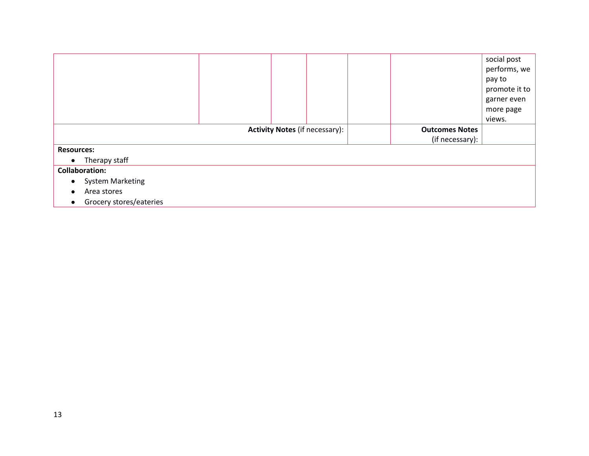|                                      |                                       |                       |                 | social post   |
|--------------------------------------|---------------------------------------|-----------------------|-----------------|---------------|
|                                      |                                       |                       |                 | performs, we  |
|                                      |                                       |                       |                 | pay to        |
|                                      |                                       |                       |                 | promote it to |
|                                      |                                       |                       |                 | garner even   |
|                                      |                                       |                       |                 | more page     |
|                                      |                                       |                       |                 | views.        |
|                                      | <b>Activity Notes (if necessary):</b> | <b>Outcomes Notes</b> |                 |               |
|                                      |                                       |                       | (if necessary): |               |
| <b>Resources:</b>                    |                                       |                       |                 |               |
| Therapy staff<br>$\bullet$           |                                       |                       |                 |               |
| <b>Collaboration:</b>                |                                       |                       |                 |               |
| <b>System Marketing</b><br>$\bullet$ |                                       |                       |                 |               |
| Area stores                          |                                       |                       |                 |               |
| Grocery stores/eateries              |                                       |                       |                 |               |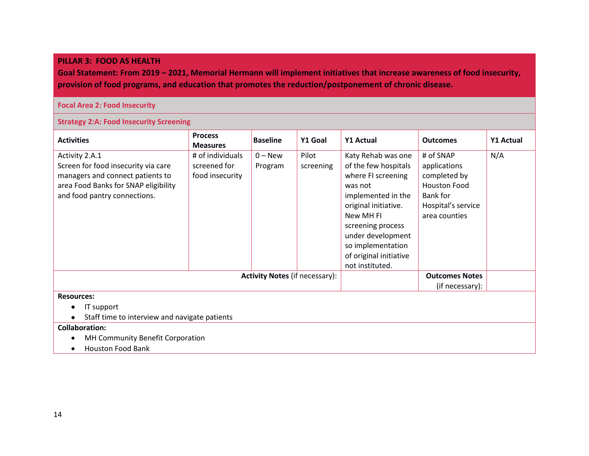#### **PILLAR 3: FOOD AS HEALTH**

**Goal Statement: From 2019 – 2021, Memorial Hermann will implement initiatives that increase awareness of food insecurity, provision of food programs, and education that promotes the reduction/postponement of chronic disease.**

#### **Focal Area 2: Food Insecurity**

#### **Strategy 2:A: Food Insecurity Screening**

| <b>Activities</b>                                                                                                                                                 | <b>Process</b><br><b>Measures</b>                   | <b>Baseline</b>                       | Y1 Goal            | Y1 Actual                                                                                                                                                                                                                                          | <b>Outcomes</b>                                                                                                     | Y1 Actual |
|-------------------------------------------------------------------------------------------------------------------------------------------------------------------|-----------------------------------------------------|---------------------------------------|--------------------|----------------------------------------------------------------------------------------------------------------------------------------------------------------------------------------------------------------------------------------------------|---------------------------------------------------------------------------------------------------------------------|-----------|
| Activity 2.A.1<br>Screen for food insecurity via care<br>managers and connect patients to<br>area Food Banks for SNAP eligibility<br>and food pantry connections. | # of individuals<br>screened for<br>food insecurity | $0 - New$<br>Program                  | Pilot<br>screening | Katy Rehab was one<br>of the few hospitals<br>where FI screening<br>was not<br>implemented in the<br>original initiative.<br>New MH FI<br>screening process<br>under development<br>so implementation<br>of original initiative<br>not instituted. | # of SNAP<br>applications<br>completed by<br><b>Houston Food</b><br>Bank for<br>Hospital's service<br>area counties | N/A       |
|                                                                                                                                                                   |                                                     | <b>Activity Notes (if necessary):</b> |                    |                                                                                                                                                                                                                                                    | <b>Outcomes Notes</b><br>(if necessary):                                                                            |           |
| <b>Resources:</b><br>IT support<br>Staff time to interview and navigate patients<br><b>Collaboration:</b><br>MH Community Benefit Corporation                     |                                                     |                                       |                    |                                                                                                                                                                                                                                                    |                                                                                                                     |           |

Houston Food Bank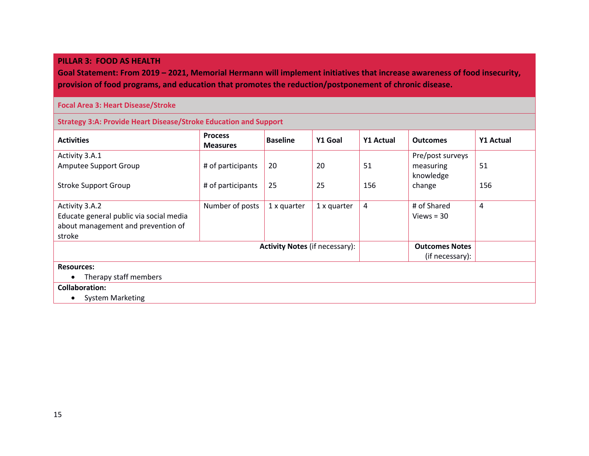#### **PILLAR 3: FOOD AS HEALTH**

**Goal Statement: From 2019 – 2021, Memorial Hermann will implement initiatives that increase awareness of food insecurity, provision of food programs, and education that promotes the reduction/postponement of chronic disease.**

#### **Focal Area 3: Heart Disease/Stroke**

**Strategy 3:A: Provide Heart Disease/Stroke Education and Support**

| <b>Activities</b>                       | <b>Process</b><br><b>Measures</b> | <b>Baseline</b>                       | Y1 Goal     | Y1 Actual | <b>Outcomes</b>       | <b>Y1 Actual</b> |
|-----------------------------------------|-----------------------------------|---------------------------------------|-------------|-----------|-----------------------|------------------|
| Activity 3.A.1                          |                                   |                                       |             |           | Pre/post surveys      |                  |
| Amputee Support Group                   | # of participants                 | 20                                    | 20          | 51        | measuring             | 51               |
|                                         |                                   |                                       |             |           | knowledge             |                  |
| <b>Stroke Support Group</b>             | # of participants                 | 25                                    | 25          | 156       | change                | 156              |
|                                         |                                   |                                       |             |           |                       |                  |
| Activity 3.A.2                          | Number of posts                   | 1 x quarter                           | 1 x quarter | 4         | # of Shared           | 4                |
| Educate general public via social media |                                   |                                       |             |           | Views $=$ 30          |                  |
| about management and prevention of      |                                   |                                       |             |           |                       |                  |
| stroke                                  |                                   |                                       |             |           |                       |                  |
|                                         |                                   | <b>Activity Notes (if necessary):</b> |             |           | <b>Outcomes Notes</b> |                  |
|                                         |                                   |                                       |             |           | (if necessary):       |                  |
| <b>Resources:</b>                       |                                   |                                       |             |           |                       |                  |
| Therapy staff members                   |                                   |                                       |             |           |                       |                  |
| <b>Collaboration:</b>                   |                                   |                                       |             |           |                       |                  |
| <b>System Marketing</b>                 |                                   |                                       |             |           |                       |                  |